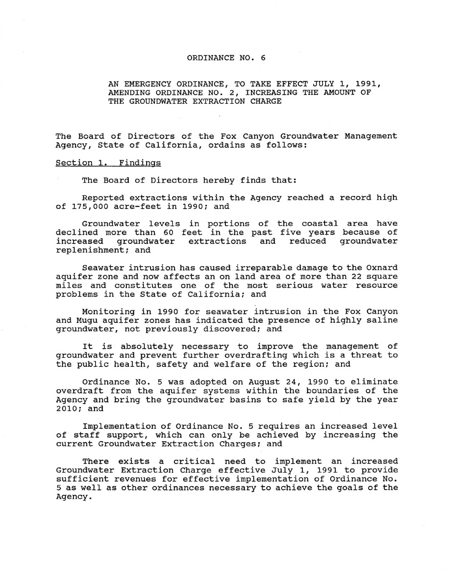## ORDINANCE NO. 6

AN EMERGENCY ORDINANCE, TO TAKE EFFECT JULY 1, 1991, AMENDING ORDINANCE NO. 2, INCREASING THE AMOUNT OF THE GROUNDWATER EXTRACTION CHARGE

The Board of Directors of the Fox Canyon Groundwater Management Agency, State of California, ordains as follows:

Section 1. Findings

The Board of Directors hereby finds that:

Reported extractions within the Agency reached a record high of 175,000 acre-feet in 1990; and

Groundwater levels in portions of the coastal area have declined more than 60 feet in the past five years because of<br>increased groundwater extractions and reduced groundwater reduced groundwater replenishment; and

Seawater intrusion has caused irreparable damage to the Oxnard aquifer zone and now affects an on land area of more than 22 square miles and constitutes one of the most serious water resource problems in the State of California; and

Monitoring in 1990 for seawater intrusion in the Fox Canyon and Mugu aquifer zones has indicated the presence of highly saline groundwater, not previously discovered; and

It is absolutely necessary to improve the management of groundwater and prevent further overdrafting which is a threat to the public health, safety and welfare of the region; and

Ordinance No. 5 was adopted on August 24, 1990 to eliminate overdraft from the aquifer systems within the boundaries of the Agency and bring the groundwater basins to safe yield by the year 2010; and

Implementation of Ordinance No. 5 requires an increased level of staff support, which can only be achieved by increasing the current Groundwater Extraction Charges; and

There exists a critical need to implement an increased Groundwater Extraction Charge effective July 1, 1991 to provide sufficient revenues for effective implementation of Ordinance No. 5 as well as other ordinances necessary to achieve the goals of the Agency.